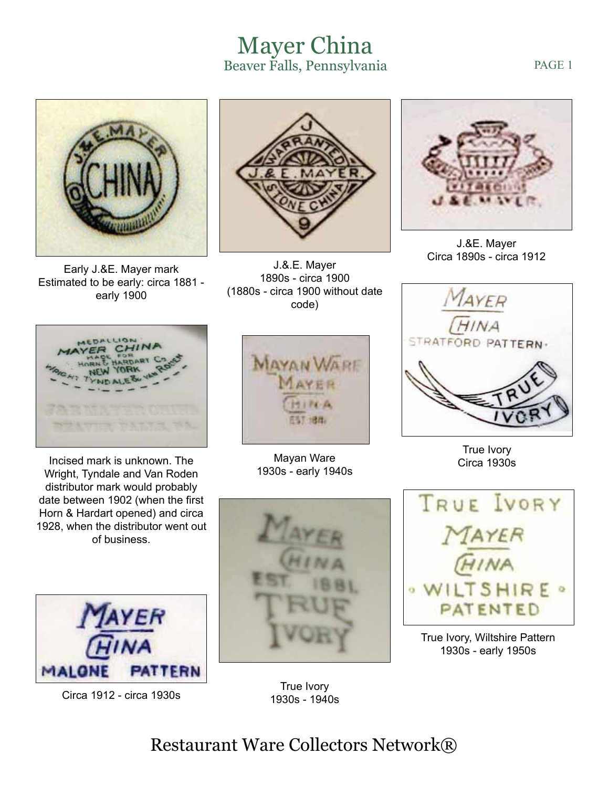## Mayer China Beaver Falls, Pennsylvania

Early J.&E. Mayer mark Estimated to be early: circa 1881 early 1900



J.&.E. Mayer 1890s - circa 1900 (1880s - circa 1900 without date code)



Incised mark is unknown. The Wright, Tyndale and Van Roden distributor mark would probably date between 1902 (when the first Horn & Hardart opened) and circa 1928, when the distributor went out of business.



Circa 1912 - circa 1930s



Mayan Ware 1930s - early 1940s



J.&E. Mayer Circa 1890s - circa 1912



True Ivory Circa 1930s



True Ivory, Wiltshire Pattern 1930s - early 1950s



True Ivory 1930s - 1940s

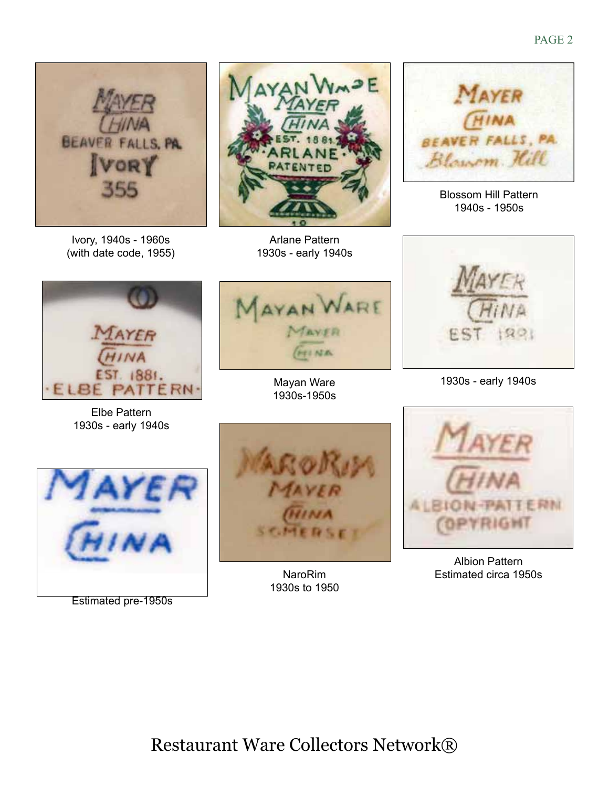

Ivory, 1940s - 1960s (with date code, 1955)



Arlane Pattern 1930s - early 1940s



Blossom Hill Pattern 1940s - 1950s



Elbe Pattern 1930s - early 1940s



Mayan Ware 1930s-1950s



1930s - early 1940s



Estimated pre-1950s



NaroRim 1930s to 1950



Albion Pattern Estimated circa 1950s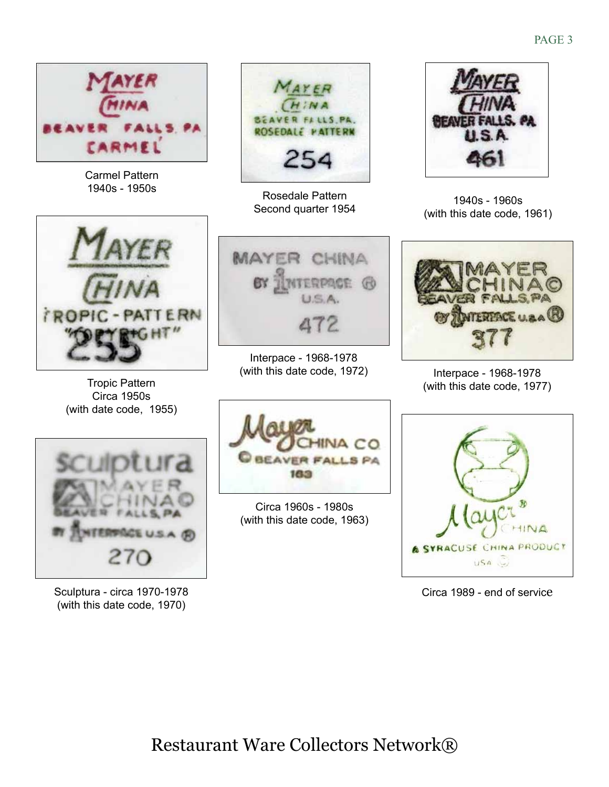



Tropic Pattern Circa 1950s (with date code, 1955)



Sculptura - circa 1970-1978 (with this date code, 1970)



Rosedale Pattern Second quarter 1954



Interpace - 1968-1978 (with this date code, 1972)



Circa 1960s - 1980s (with this date code, 1963)



1940s - 1960s (with this date code, 1961)



Interpace - 1968-1978 (with this date code, 1977)



Circa 1989 - end of service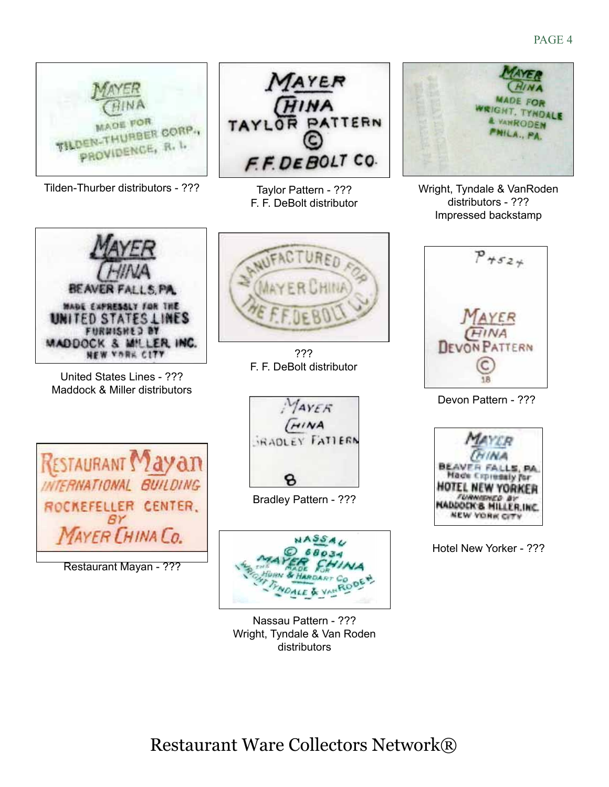

Tilden-Thurber distributors - ??? Taylor Pattern - ??? Wright, Tyndale & VanRoden



United States Lines - ??? Maddock & Miller distributors



Restaurant Mayan - ???



Taylor Pattern - ??? F. F. DeBolt distributor



distributors - ??? Impressed backstamp



Devon Pattern - ???



Hotel New Yorker - ???





Bradley Pattern - ???



Nassau Pattern - ??? Wright, Tyndale & Van Roden distributors